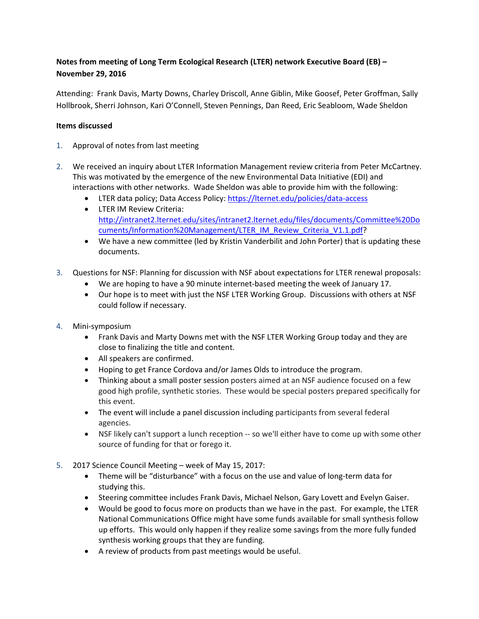## **Notes from meeting of Long Term Ecological Research (LTER) network Executive Board (EB) – November 29, 2016**

Attending: Frank Davis, Marty Downs, Charley Driscoll, Anne Giblin, Mike Goosef, Peter Groffman, Sally Hollbrook, Sherri Johnson, Kari O'Connell, Steven Pennings, Dan Reed, Eric Seabloom, Wade Sheldon

## **Items discussed**

- 1. Approval of notes from last meeting
- 2. We received an inquiry about LTER Information Management review criteria from Peter McCartney. This was motivated by the emergence of the new Environmental Data Initiative (EDI) and interactions with other networks. Wade Sheldon was able to provide him with the following:
	- LTER data policy; Data Access Policy:<https://lternet.edu/policies/data-access>
	- LTER IM Review Criteria: [http://intranet2.lternet.edu/sites/intranet2.lternet.edu/files/documents/Committee%20Do](http://intranet2.lternet.edu/sites/intranet2.lternet.edu/files/documents/Committee%20Documents/Information%20Management/LTER_IM_Review_Criteria_V1.1.pdf) [cuments/Information%20Management/LTER\\_IM\\_Review\\_Criteria\\_V1.1.pdf?](http://intranet2.lternet.edu/sites/intranet2.lternet.edu/files/documents/Committee%20Documents/Information%20Management/LTER_IM_Review_Criteria_V1.1.pdf)
	- We have a new committee (led by Kristin Vanderbilit and John Porter) that is updating these documents.
- 3. Questions for NSF: Planning for discussion with NSF about expectations for LTER renewal proposals:
	- We are hoping to have a 90 minute internet-based meeting the week of January 17.
	- Our hope is to meet with just the NSF LTER Working Group. Discussions with others at NSF could follow if necessary.
- 4. Mini-symposium
	- Frank Davis and Marty Downs met with the NSF LTER Working Group today and they are close to finalizing the title and content.
	- All speakers are confirmed.
	- Hoping to get France Cordova and/or James Olds to introduce the program.
	- Thinking about a small poster session posters aimed at an NSF audience focused on a few good high profile, synthetic stories. These would be special posters prepared specifically for this event.
	- The event will include a panel discussion including participants from several federal agencies.
	- NSF likely can't support a lunch reception -- so we'll either have to come up with some other source of funding for that or forego it.
- 5. 2017 Science Council Meeting week of May 15, 2017:
	- Theme will be "disturbance" with a focus on the use and value of long-term data for studying this.
	- Steering committee includes Frank Davis, Michael Nelson, Gary Lovett and Evelyn Gaiser.
	- Would be good to focus more on products than we have in the past. For example, the LTER National Communications Office might have some funds available for small synthesis follow up efforts. This would only happen if they realize some savings from the more fully funded synthesis working groups that they are funding.
	- A review of products from past meetings would be useful.